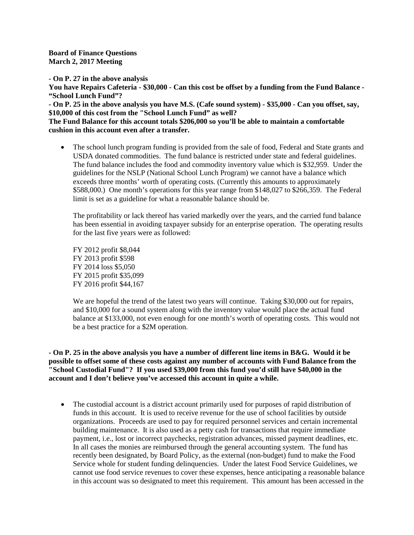**Board of Finance Questions March 2, 2017 Meeting**

**- On P. 27 in the above analysis**

**You have Repairs Cafeteria - \$30,000 - Can this cost be offset by a funding from the Fund Balance - "School Lunch Fund"?**

**- On P. 25 in the above analysis you have M.S. (Cafe sound system) - \$35,000 - Can you offset, say, \$10,000 of this cost from the "School Lunch Fund" as well?**

**The Fund Balance for this account totals \$206,000 so you'll be able to maintain a comfortable cushion in this account even after a transfer.**

• The school lunch program funding is provided from the sale of food, Federal and State grants and USDA donated commodities. The fund balance is restricted under state and federal guidelines. The fund balance includes the food and commodity inventory value which is \$32,959. Under the guidelines for the NSLP (National School Lunch Program) we cannot have a balance which exceeds three months' worth of operating costs. (Currently this amounts to approximately \$588,000.) One month's operations for this year range from \$148,027 to \$266,359. The Federal limit is set as a guideline for what a reasonable balance should be.

The profitability or lack thereof has varied markedly over the years, and the carried fund balance has been essential in avoiding taxpayer subsidy for an enterprise operation. The operating results for the last five years were as followed:

FY 2012 profit \$8,044 FY 2013 profit \$598 FY 2014 loss \$5,050 FY 2015 profit \$35,099 FY 2016 profit \$44,167

We are hopeful the trend of the latest two years will continue. Taking \$30,000 out for repairs, and \$10,000 for a sound system along with the inventory value would place the actual fund balance at \$133,000, not even enough for one month's worth of operating costs. This would not be a best practice for a \$2M operation.

## **- On P. 25 in the above analysis you have a number of different line items in B&G. Would it be possible to offset some of these costs against any number of accounts with Fund Balance from the "School Custodial Fund"? If you used \$39,000 from this fund you'd still have \$40,000 in the account and I don't believe you've accessed this account in quite a while.**

• The custodial account is a district account primarily used for purposes of rapid distribution of funds in this account. It is used to receive revenue for the use of school facilities by outside organizations. Proceeds are used to pay for required personnel services and certain incremental building maintenance. It is also used as a petty cash for transactions that require immediate payment, i.e., lost or incorrect paychecks, registration advances, missed payment deadlines, etc. In all cases the monies are reimbursed through the general accounting system. The fund has recently been designated, by Board Policy, as the external (non-budget) fund to make the Food Service whole for student funding delinquencies. Under the latest Food Service Guidelines, we cannot use food service revenues to cover these expenses, hence anticipating a reasonable balance in this account was so designated to meet this requirement. This amount has been accessed in the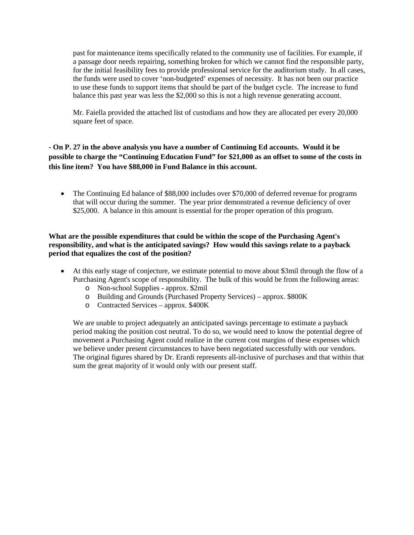past for maintenance items specifically related to the community use of facilities. For example, if a passage door needs repairing, something broken for which we cannot find the responsible party, for the initial feasibility fees to provide professional service for the auditorium study. In all cases, the funds were used to cover 'non-budgeted' expenses of necessity. It has not been our practice to use these funds to support items that should be part of the budget cycle. The increase to fund balance this past year was less the \$2,000 so this is not a high revenue generating account.

Mr. Faiella provided the attached list of custodians and how they are allocated per every 20,000 square feet of space.

## **- On P. 27 in the above analysis you have a number of Continuing Ed accounts. Would it be possible to charge the "Continuing Education Fund" for \$21,000 as an offset to some of the costs in this line item? You have \$88,000 in Fund Balance in this account.**

• The Continuing Ed balance of \$88,000 includes over \$70,000 of deferred revenue for programs that will occur during the summer. The year prior demonstrated a revenue deficiency of over \$25,000. A balance in this amount is essential for the proper operation of this program.

## **What are the possible expenditures that could be within the scope of the Purchasing Agent's responsibility, and what is the anticipated savings? How would this savings relate to a payback period that equalizes the cost of the position?**

- At this early stage of conjecture, we estimate potential to move about \$3mil through the flow of a Purchasing Agent's scope of responsibility. The bulk of this would be from the following areas:
	- o Non-school Supplies approx. \$2mil
	- o Building and Grounds (Purchased Property Services) approx. \$800K
	- o Contracted Services approx. \$400K

We are unable to project adequately an anticipated savings percentage to estimate a payback period making the position cost neutral. To do so, we would need to know the potential degree of movement a Purchasing Agent could realize in the current cost margins of these expenses which we believe under present circumstances to have been negotiated successfully with our vendors. The original figures shared by Dr. Erardi represents all-inclusive of purchases and that within that sum the great majority of it would only with our present staff.